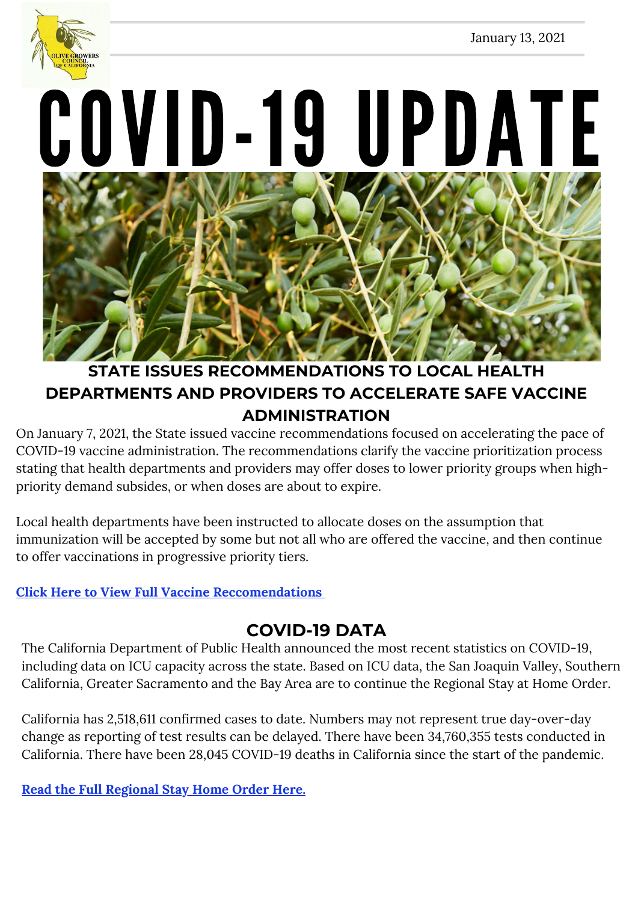

COVID-19 UPDATE



### **STATE ISSUES RECOMMENDATIONS TO LOCAL HEALTH DEPARTMENTS AND PROVIDERS TO ACCELERATE SAFE VACCINE ADMINISTRATION**

On January 7, 2021, the State issued vaccine recommendations focused on accelerating the pace of COVID-19 vaccine administration. The recommendations clarify the vaccine prioritization process stating that health departments and providers may offer doses to lower priority groups when highpriority demand subsides, or when doses are about to expire.

Local health departments have been instructed to allocate doses on the assumption that immunization will be accepted by some but not all who are offered the vaccine, and then continue to offer vaccinations in progressive priority tiers.

### **Click Here to View Full Vaccine [Reccomendations](https://www.cdph.ca.gov/Programs/CID/DCDC/Pages/COVID-19/Vaccine-Prioritization.aspx)**

### **COVID-19 DATA**

The California Department of Public Health announced the most recent statistics on COVID-19, including data on ICU capacity across the state. Based on ICU data, the San Joaquin Valley, Southern California, Greater Sacramento and the Bay Area are to continue the Regional Stay at Home Order.

California has 2,518,611 confirmed cases to date. Numbers may not represent true day-over-day change as reporting of test results can be delayed. There have been 34,760,355 tests conducted in California. There have been 28,045 COVID-19 deaths in California since the start of the pandemic.

**Read the Full [Regional](https://www.cdph.ca.gov/Programs/CID/DCDC/Pages/COVID-19/Regional-Stay-at-Home-Order-.aspx) Stay Home Order Here.**